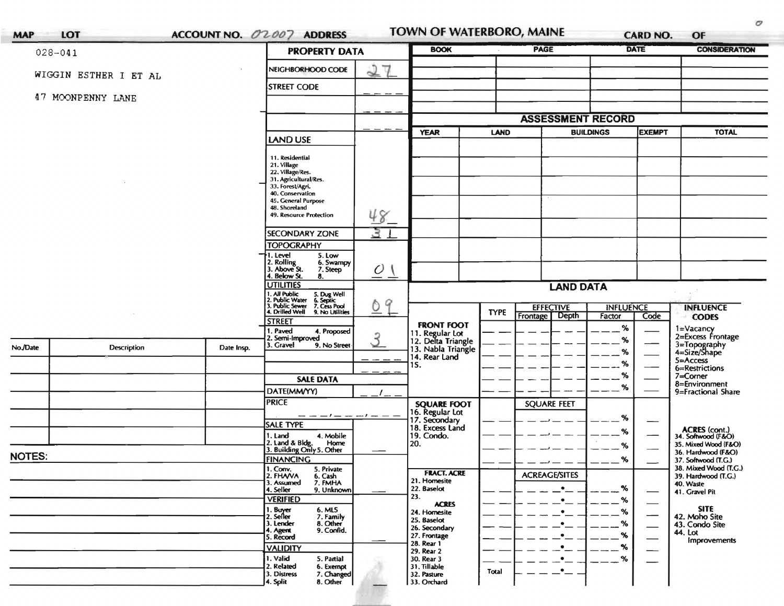| $028 - 041$   |                       |                    | <b>PROPERTY DATA</b>                                                         |                               | <b>BOOK</b>                                                 |             | PAGE                                         |                            | <b>DATE</b>                      | <b>CONSIDERATION</b>                              |
|---------------|-----------------------|--------------------|------------------------------------------------------------------------------|-------------------------------|-------------------------------------------------------------|-------------|----------------------------------------------|----------------------------|----------------------------------|---------------------------------------------------|
|               | WIGGIN ESTHER I ET AL |                    | NEIGHBORHOOD CODE                                                            | 27                            |                                                             |             |                                              |                            |                                  |                                                   |
|               |                       | <b>STREET CODE</b> |                                                                              |                               |                                                             |             |                                              |                            |                                  |                                                   |
|               | 47 MOONPENNY LANE     |                    |                                                                              |                               |                                                             |             |                                              |                            |                                  |                                                   |
|               |                       |                    |                                                                              |                               |                                                             |             | <b>ASSESSMENT RECORD</b>                     |                            |                                  |                                                   |
|               |                       |                    | <b>LAND USE</b>                                                              |                               | <b>YEAR</b>                                                 | LAND        | <b>BUILDINGS</b>                             |                            | <b>EXEMPT</b>                    | <b>TOTAL</b>                                      |
|               |                       |                    |                                                                              |                               |                                                             |             |                                              |                            |                                  |                                                   |
|               |                       |                    | 11. Residential<br>21. Village                                               |                               |                                                             |             |                                              |                            |                                  |                                                   |
|               |                       |                    | 22. Village/Res.<br>31. Agricultural/Res.                                    |                               |                                                             |             |                                              |                            |                                  |                                                   |
|               |                       |                    | 33. Forest/Agri.<br>40. Conservation                                         |                               |                                                             |             |                                              |                            |                                  |                                                   |
|               |                       |                    | 45. General Purpose<br>48. Shoreland                                         |                               |                                                             |             |                                              |                            |                                  |                                                   |
|               |                       |                    | 49. Resource Protection                                                      | 48                            |                                                             |             |                                              |                            |                                  |                                                   |
|               |                       |                    | <b>SECONDARY ZONE</b>                                                        | 3                             |                                                             |             |                                              |                            |                                  |                                                   |
|               |                       |                    | <b>TOPOGRAPHY</b><br>I. Level<br>5. Low                                      |                               |                                                             |             |                                              |                            |                                  |                                                   |
|               |                       |                    | 2. Rolling<br>3. Above St.<br>6. Swampy<br>7. Steep                          | $\overline{O}$ $\overline{1}$ |                                                             |             |                                              |                            |                                  |                                                   |
|               |                       |                    | 4. Below St.<br>8.<br><b>UTILITIES</b>                                       |                               |                                                             |             | <b>LAND DATA</b>                             |                            |                                  |                                                   |
|               |                       |                    | I. All Public<br>2. Public Water<br>5. Dug Well<br>6. Septic<br>7. Cess Pool | 9<br>$\circ$                  |                                                             |             |                                              |                            |                                  |                                                   |
|               |                       |                    | 3. Public Sewer<br>4. Drilled Well<br>9. No Utilities                        |                               |                                                             | <b>TYPE</b> | <b>EFFECTIVE</b><br><b>Depth</b><br>Frontage | <b>INFLUENCE</b><br>Factor | Code                             | <b>INFLUENCE</b><br><b>CODES</b>                  |
|               |                       |                    | <b>STREET</b><br>I. Paved<br>4. Proposed                                     |                               | <b>FRONT FOOT</b>                                           |             |                                              | ℅                          |                                  | 1=Vacancy                                         |
| No./Date      | <b>Description</b>    | Date Insp.         | 2. Semi-Improved<br>3. Gravel<br>9. No Street                                | 3                             | 11. Regular Lot<br>12. Delta Triangle<br>13. Nabla Triangle |             |                                              | %                          |                                  | 2=Excess Frontage<br>3=Topography<br>4=Size/Shape |
|               |                       |                    |                                                                              |                               | 14. Rear Land                                               |             |                                              | %                          |                                  | 5=Access                                          |
|               |                       |                    |                                                                              |                               | 15.                                                         |             |                                              | %<br>%                     |                                  | 6=Restrictions<br>7=Corner                        |
|               |                       |                    | <b>SALE DATA</b><br>DATE(MM/YY)                                              |                               |                                                             |             |                                              | %                          |                                  | 8=Environment<br>9=Fractional Share               |
|               |                       |                    | <b>PRICE</b>                                                                 |                               | <b>SQUARE FOOT</b>                                          |             | <b>SQUARE FEET</b>                           |                            |                                  |                                                   |
|               |                       |                    | - - - / - - - / - - -                                                        |                               | 16. Regular Lot<br>17. Secondary<br>18. Excess Land         |             |                                              | %                          |                                  |                                                   |
|               |                       |                    | SALE TYPE<br>4. Mobile<br>1. Land                                            |                               | 19. Condo.                                                  |             |                                              | %                          |                                  | ACRES (cont.)<br>34. Softwood (F&O)               |
|               |                       |                    | 2. Land & Bldg. Home<br>3. Building Only 5. Other<br>Home                    |                               | 20.                                                         |             |                                              | %                          |                                  | 35. Mixed Wood (F&O)                              |
| <b>NOTES:</b> |                       |                    | <b>FINANCING</b>                                                             |                               |                                                             |             |                                              | %                          |                                  | 36. Hardwood (F&O)<br>37. Softwood (T.G.)         |
|               |                       |                    | 1. Comv.<br>2. FHA/VA<br>5. Private<br>6. Cash                               |                               | <b>FRACT. ACRE</b>                                          |             | <b>ACREAGE/SITES</b>                         |                            |                                  | 38. Mixed Wood (T.G.)<br>39. Hardwood (T.G.)      |
|               |                       |                    | 3. Assumed<br>7. FMHA<br>4. Seller<br>9. Unknown                             |                               | 21. Homesite<br>22. Baselot                                 |             | $\bullet$                                    | %                          | $\overbrace{\phantom{aaaaa}}^{}$ | 40. Waste<br>41. Gravel Pit                       |
|               |                       |                    | <b>VERIFIED</b><br>6. MLS                                                    |                               | 23.<br><b>ACRES</b>                                         |             | ٠                                            | %                          | —                                | <b>SITE</b>                                       |
|               |                       |                    | 1. Buyer<br>2. Seller<br>7. Family<br>8. Other<br>3. Lender                  |                               | 24. Homesite<br>25. Baselot                                 |             | ٠<br>٠                                       | %<br>%                     | --                               | 42. Moho Site                                     |
|               |                       |                    | 9. Confid.<br>4. Agent<br>5. Record                                          |                               | 26. Secondary<br>27. Frontage                               |             | ٠                                            | %                          | $\overbrace{\phantom{aaaaa}}$    | 43. Condo Site<br>44. Lot                         |
|               |                       |                    | <b>VALIDITY</b>                                                              |                               | 28. Rear 1<br>29. Rear 2                                    |             |                                              | %                          |                                  | <b>Improvements</b>                               |
|               |                       |                    | 1. Valid<br>5. Partial<br>2. Related<br>6. Exempt                            |                               | 30. Rear 3<br>31. Tillable                                  |             |                                              | %                          |                                  |                                                   |
|               |                       |                    | 3. Distress<br>7. Changed                                                    |                               | 32. Pasture                                                 | Total       | $\bullet$                                    |                            |                                  |                                                   |